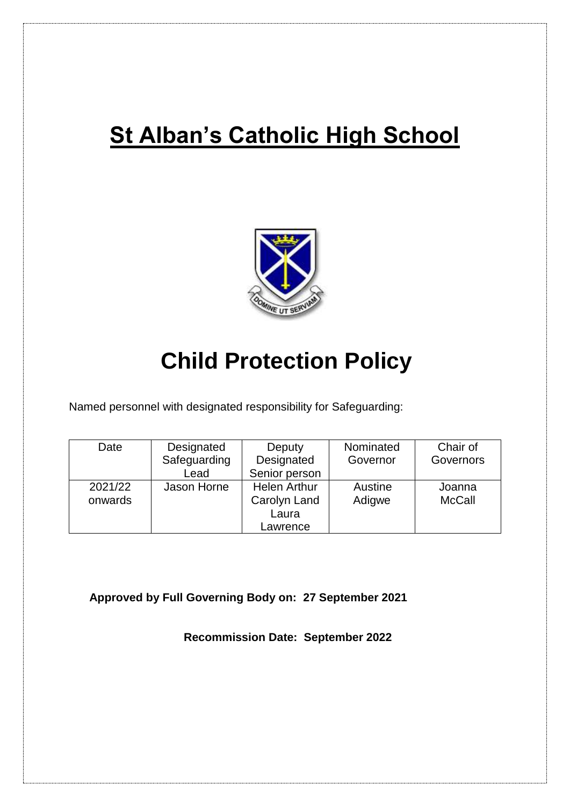# **St Alban's Catholic High School**



# **Child Protection Policy**

Named personnel with designated responsibility for Safeguarding:

| Date    | Designated   | Deputy              | Nominated | Chair of      |
|---------|--------------|---------------------|-----------|---------------|
|         | Safeguarding | Designated          | Governor  | Governors     |
|         | Lead         | Senior person       |           |               |
| 2021/22 | Jason Horne  | <b>Helen Arthur</b> | Austine   | Joanna        |
| onwards |              | Carolyn Land        | Adigwe    | <b>McCall</b> |
|         |              | Laura               |           |               |
|         |              | Lawrence            |           |               |

**Approved by Full Governing Body on: 27 September 2021**

 **Recommission Date: September 2022**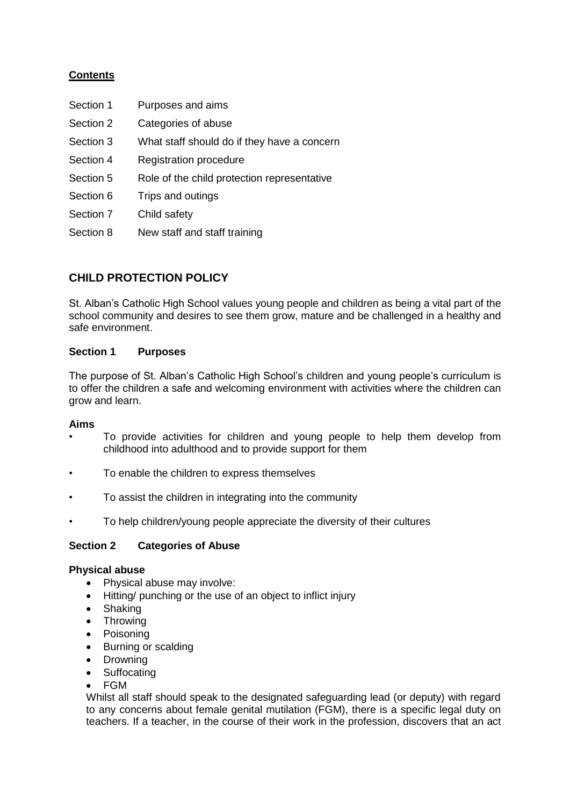# **Contents**

- Section 1 Purposes and aims
- Section 2 Categories of abuse
- Section 3 What staff should do if they have a concern
- Section 4 Registration procedure
- Section 5 Role of the child protection representative
- Section 6 Trips and outings
- Section 7 Child safety
- Section 8 New staff and staff training

# **CHILD PROTECTION POLICY**

St. Alban's Catholic High School values young people and children as being a vital part of the school community and desires to see them grow, mature and be challenged in a healthy and safe environment.

# **Section 1 Purposes**

The purpose of St. Alban's Catholic High School's children and young people's curriculum is to offer the children a safe and welcoming environment with activities where the children can grow and learn.

# **Aims**

- To provide activities for children and young people to help them develop from childhood into adulthood and to provide support for them
- To enable the children to express themselves
- To assist the children in integrating into the community
- To help children/young people appreciate the diversity of their cultures

# **Section 2 Categories of Abuse**

# **Physical abuse**

- Physical abuse may involve:
- Hitting/ punching or the use of an object to inflict injury
- Shaking
- Throwing
- Poisoning
- Burning or scalding
- Drowning
- Suffocating
- FGM

Whilst all staff should speak to the designated safeguarding lead (or deputy) with regard to any concerns about female genital mutilation (FGM), there is a specific legal duty on teachers. If a teacher, in the course of their work in the profession, discovers that an act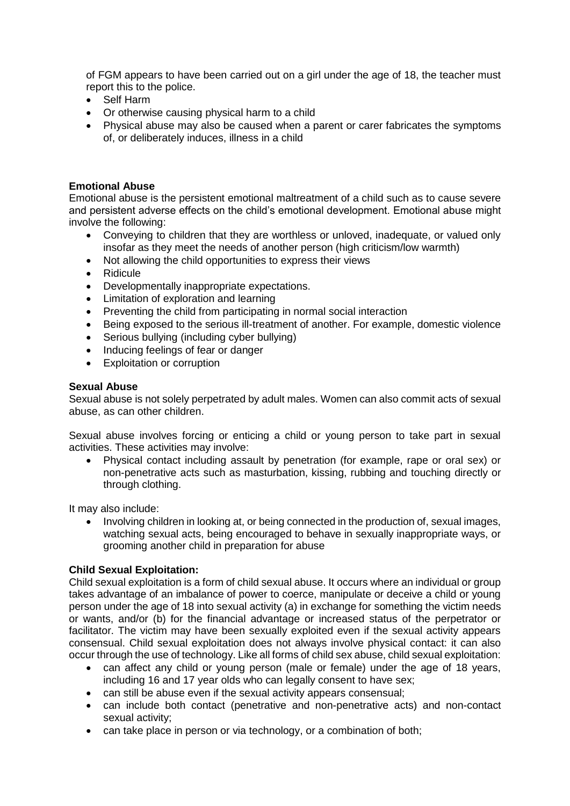of FGM appears to have been carried out on a girl under the age of 18, the teacher must report this to the police.

- Self Harm
- Or otherwise causing physical harm to a child
- Physical abuse may also be caused when a parent or carer fabricates the symptoms of, or deliberately induces, illness in a child

### **Emotional Abuse**

Emotional abuse is the persistent emotional maltreatment of a child such as to cause severe and persistent adverse effects on the child's emotional development. Emotional abuse might involve the following:

- Conveying to children that they are worthless or unloved, inadequate, or valued only insofar as they meet the needs of another person (high criticism/low warmth)
- Not allowing the child opportunities to express their views
- Ridicule
- Developmentally inappropriate expectations.
- Limitation of exploration and learning
- Preventing the child from participating in normal social interaction
- Being exposed to the serious ill-treatment of another. For example, domestic violence
- Serious bullying (including cyber bullying)
- Inducing feelings of fear or danger
- Exploitation or corruption

#### **Sexual Abuse**

Sexual abuse is not solely perpetrated by adult males. Women can also commit acts of sexual abuse, as can other children.

Sexual abuse involves forcing or enticing a child or young person to take part in sexual activities. These activities may involve:

 Physical contact including assault by penetration (for example, rape or oral sex) or non-penetrative acts such as masturbation, kissing, rubbing and touching directly or through clothing.

It may also include:

• Involving children in looking at, or being connected in the production of, sexual images, watching sexual acts, being encouraged to behave in sexually inappropriate ways, or grooming another child in preparation for abuse

#### **Child Sexual Exploitation:**

Child sexual exploitation is a form of child sexual abuse. It occurs where an individual or group takes advantage of an imbalance of power to coerce, manipulate or deceive a child or young person under the age of 18 into sexual activity (a) in exchange for something the victim needs or wants, and/or (b) for the financial advantage or increased status of the perpetrator or facilitator. The victim may have been sexually exploited even if the sexual activity appears consensual. Child sexual exploitation does not always involve physical contact: it can also occur through the use of technology. Like all forms of child sex abuse, child sexual exploitation:

- can affect any child or young person (male or female) under the age of 18 years, including 16 and 17 year olds who can legally consent to have sex;
- can still be abuse even if the sexual activity appears consensual;
- can include both contact (penetrative and non-penetrative acts) and non-contact sexual activity;
- can take place in person or via technology, or a combination of both;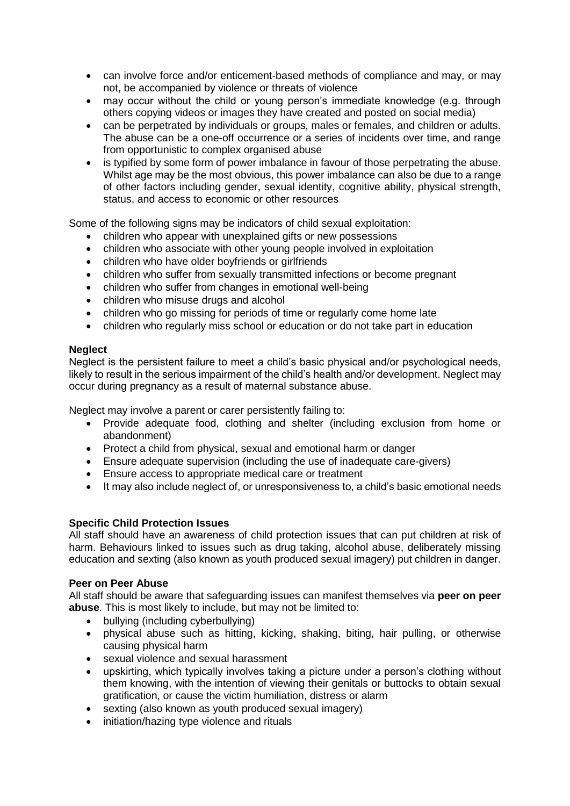- can involve force and/or enticement-based methods of compliance and may, or may not, be accompanied by violence or threats of violence
- may occur without the child or young person's immediate knowledge (e.g. through others copying videos or images they have created and posted on social media)
- can be perpetrated by individuals or groups, males or females, and children or adults. The abuse can be a one-off occurrence or a series of incidents over time, and range from opportunistic to complex organised abuse
- is typified by some form of power imbalance in favour of those perpetrating the abuse. Whilst age may be the most obvious, this power imbalance can also be due to a range of other factors including gender, sexual identity, cognitive ability, physical strength, status, and access to economic or other resources

Some of the following signs may be indicators of child sexual exploitation:

- children who appear with unexplained gifts or new possessions
- children who associate with other young people involved in exploitation
- children who have older boyfriends or girlfriends
- children who suffer from sexually transmitted infections or become pregnant
- children who suffer from changes in emotional well-being
- children who misuse drugs and alcohol
- children who go missing for periods of time or regularly come home late
- children who regularly miss school or education or do not take part in education

#### **Neglect**

Neglect is the persistent failure to meet a child's basic physical and/or psychological needs, likely to result in the serious impairment of the child's health and/or development. Neglect may occur during pregnancy as a result of maternal substance abuse.

Neglect may involve a parent or carer persistently failing to:

- Provide adequate food, clothing and shelter (including exclusion from home or abandonment)
- Protect a child from physical, sexual and emotional harm or danger
- Ensure adequate supervision (including the use of inadequate care-givers)
- Ensure access to appropriate medical care or treatment
- It may also include neglect of, or unresponsiveness to, a child's basic emotional needs

# **Specific Child Protection Issues**

All staff should have an awareness of child protection issues that can put children at risk of harm. Behaviours linked to issues such as drug taking, alcohol abuse, deliberately missing education and sexting (also known as youth produced sexual imagery) put children in danger.

# **Peer on Peer Abuse**

All staff should be aware that safeguarding issues can manifest themselves via **peer on peer abuse**. This is most likely to include, but may not be limited to:

- bullying (including cyberbullying)
- physical abuse such as hitting, kicking, shaking, biting, hair pulling, or otherwise causing physical harm
- sexual violence and sexual harassment
- upskirting, which typically involves taking a picture under a person's clothing without them knowing, with the intention of viewing their genitals or buttocks to obtain sexual gratification, or cause the victim humiliation, distress or alarm
- sexting (also known as youth produced sexual imagery)
- initiation/hazing type violence and rituals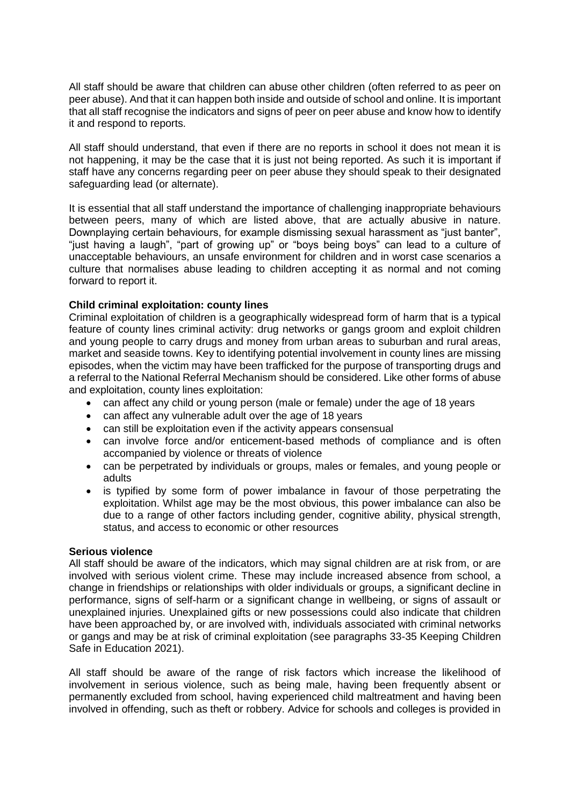All staff should be aware that children can abuse other children (often referred to as peer on peer abuse). And that it can happen both inside and outside of school and online. It is important that all staff recognise the indicators and signs of peer on peer abuse and know how to identify it and respond to reports.

All staff should understand, that even if there are no reports in school it does not mean it is not happening, it may be the case that it is just not being reported. As such it is important if staff have any concerns regarding peer on peer abuse they should speak to their designated safeguarding lead (or alternate).

It is essential that all staff understand the importance of challenging inappropriate behaviours between peers, many of which are listed above, that are actually abusive in nature. Downplaying certain behaviours, for example dismissing sexual harassment as "just banter", "just having a laugh", "part of growing up" or "boys being boys" can lead to a culture of unacceptable behaviours, an unsafe environment for children and in worst case scenarios a culture that normalises abuse leading to children accepting it as normal and not coming forward to report it.

#### **Child criminal exploitation: county lines**

Criminal exploitation of children is a geographically widespread form of harm that is a typical feature of county lines criminal activity: drug networks or gangs groom and exploit children and young people to carry drugs and money from urban areas to suburban and rural areas, market and seaside towns. Key to identifying potential involvement in county lines are missing episodes, when the victim may have been trafficked for the purpose of transporting drugs and a referral to the National Referral Mechanism should be considered. Like other forms of abuse and exploitation, county lines exploitation:

- can affect any child or young person (male or female) under the age of 18 years
- can affect any vulnerable adult over the age of 18 years
- can still be exploitation even if the activity appears consensual
- can involve force and/or enticement-based methods of compliance and is often accompanied by violence or threats of violence
- can be perpetrated by individuals or groups, males or females, and young people or adults
- is typified by some form of power imbalance in favour of those perpetrating the exploitation. Whilst age may be the most obvious, this power imbalance can also be due to a range of other factors including gender, cognitive ability, physical strength, status, and access to economic or other resources

#### **Serious violence**

All staff should be aware of the indicators, which may signal children are at risk from, or are involved with serious violent crime. These may include increased absence from school, a change in friendships or relationships with older individuals or groups, a significant decline in performance, signs of self-harm or a significant change in wellbeing, or signs of assault or unexplained injuries. Unexplained gifts or new possessions could also indicate that children have been approached by, or are involved with, individuals associated with criminal networks or gangs and may be at risk of criminal exploitation (see paragraphs 33-35 Keeping Children Safe in Education 2021).

All staff should be aware of the range of risk factors which increase the likelihood of involvement in serious violence, such as being male, having been frequently absent or permanently excluded from school, having experienced child maltreatment and having been involved in offending, such as theft or robbery. Advice for schools and colleges is provided in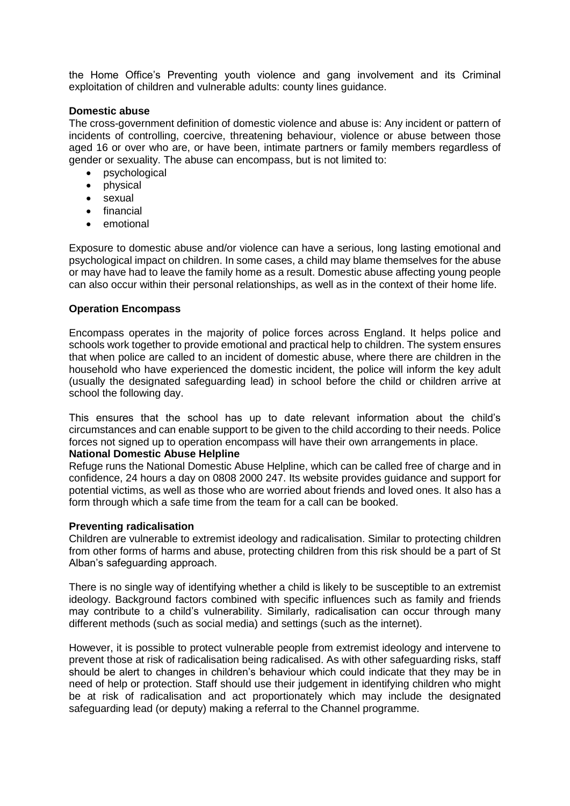the Home Office's Preventing youth violence and gang involvement and its Criminal exploitation of children and vulnerable adults: county lines guidance.

#### **Domestic abuse**

The cross-government definition of domestic violence and abuse is: Any incident or pattern of incidents of controlling, coercive, threatening behaviour, violence or abuse between those aged 16 or over who are, or have been, intimate partners or family members regardless of gender or sexuality. The abuse can encompass, but is not limited to:

- psychological
- physical
- sexual
- $\bullet$  financial
- emotional

Exposure to domestic abuse and/or violence can have a serious, long lasting emotional and psychological impact on children. In some cases, a child may blame themselves for the abuse or may have had to leave the family home as a result. Domestic abuse affecting young people can also occur within their personal relationships, as well as in the context of their home life.

#### **Operation Encompass**

Encompass operates in the majority of police forces across England. It helps police and schools work together to provide emotional and practical help to children. The system ensures that when police are called to an incident of domestic abuse, where there are children in the household who have experienced the domestic incident, the police will inform the key adult (usually the designated safeguarding lead) in school before the child or children arrive at school the following day.

This ensures that the school has up to date relevant information about the child's circumstances and can enable support to be given to the child according to their needs. Police forces not signed up to operation encompass will have their own arrangements in place.

#### **National Domestic Abuse Helpline**

Refuge runs the National Domestic Abuse Helpline, which can be called free of charge and in confidence, 24 hours a day on 0808 2000 247. Its website provides guidance and support for potential victims, as well as those who are worried about friends and loved ones. It also has a form through which a safe time from the team for a call can be booked.

#### **Preventing radicalisation**

Children are vulnerable to extremist ideology and radicalisation. Similar to protecting children from other forms of harms and abuse, protecting children from this risk should be a part of St Alban's safeguarding approach.

There is no single way of identifying whether a child is likely to be susceptible to an extremist ideology. Background factors combined with specific influences such as family and friends may contribute to a child's vulnerability. Similarly, radicalisation can occur through many different methods (such as social media) and settings (such as the internet).

However, it is possible to protect vulnerable people from extremist ideology and intervene to prevent those at risk of radicalisation being radicalised. As with other safeguarding risks, staff should be alert to changes in children's behaviour which could indicate that they may be in need of help or protection. Staff should use their judgement in identifying children who might be at risk of radicalisation and act proportionately which may include the designated safeguarding lead (or deputy) making a referral to the Channel programme.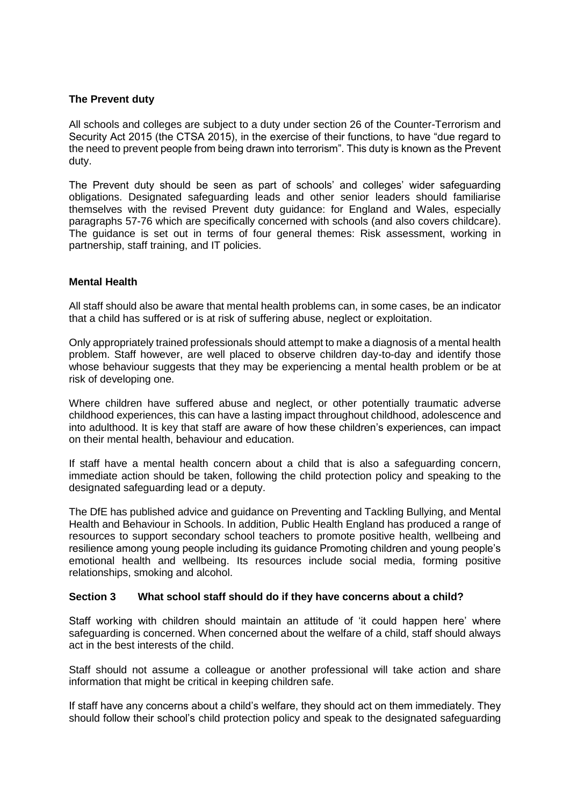### **The Prevent duty**

All schools and colleges are subject to a duty under section 26 of the Counter-Terrorism and Security Act 2015 (the CTSA 2015), in the exercise of their functions, to have "due regard to the need to prevent people from being drawn into terrorism". This duty is known as the Prevent duty.

The Prevent duty should be seen as part of schools' and colleges' wider safeguarding obligations. Designated safeguarding leads and other senior leaders should familiarise themselves with the revised Prevent duty guidance: for England and Wales, especially paragraphs 57-76 which are specifically concerned with schools (and also covers childcare). The guidance is set out in terms of four general themes: Risk assessment, working in partnership, staff training, and IT policies.

#### **Mental Health**

All staff should also be aware that mental health problems can, in some cases, be an indicator that a child has suffered or is at risk of suffering abuse, neglect or exploitation.

Only appropriately trained professionals should attempt to make a diagnosis of a mental health problem. Staff however, are well placed to observe children day-to-day and identify those whose behaviour suggests that they may be experiencing a mental health problem or be at risk of developing one.

Where children have suffered abuse and neglect, or other potentially traumatic adverse childhood experiences, this can have a lasting impact throughout childhood, adolescence and into adulthood. It is key that staff are aware of how these children's experiences, can impact on their mental health, behaviour and education.

If staff have a mental health concern about a child that is also a safeguarding concern, immediate action should be taken, following the child protection policy and speaking to the designated safeguarding lead or a deputy.

The DfE has published advice and guidance on Preventing and Tackling Bullying, and Mental Health and Behaviour in Schools. In addition, Public Health England has produced a range of resources to support secondary school teachers to promote positive health, wellbeing and resilience among young people including its guidance Promoting children and young people's emotional health and wellbeing. Its resources include social media, forming positive relationships, smoking and alcohol.

#### **Section 3 What school staff should do if they have concerns about a child?**

Staff working with children should maintain an attitude of 'it could happen here' where safeguarding is concerned. When concerned about the welfare of a child, staff should always act in the best interests of the child.

Staff should not assume a colleague or another professional will take action and share information that might be critical in keeping children safe.

If staff have any concerns about a child's welfare, they should act on them immediately. They should follow their school's child protection policy and speak to the designated safeguarding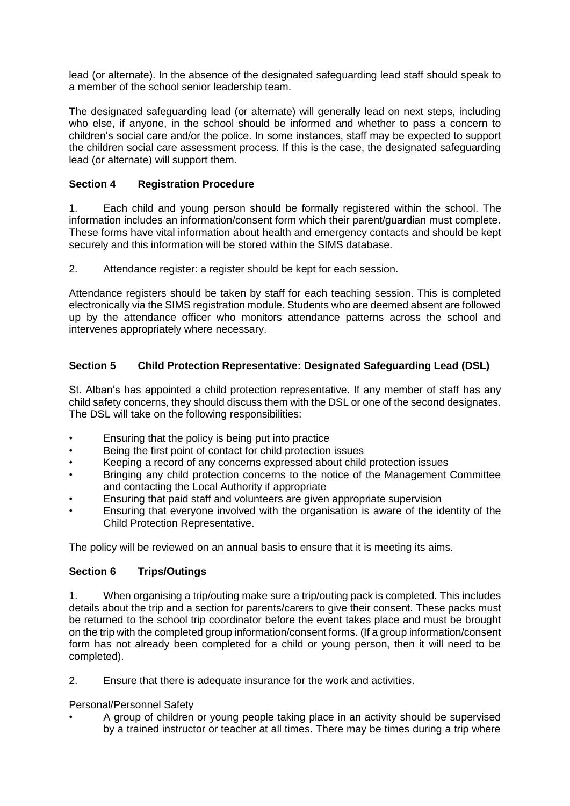lead (or alternate). In the absence of the designated safeguarding lead staff should speak to a member of the school senior leadership team.

The designated safeguarding lead (or alternate) will generally lead on next steps, including who else, if anyone, in the school should be informed and whether to pass a concern to children's social care and/or the police. In some instances, staff may be expected to support the children social care assessment process. If this is the case, the designated safeguarding lead (or alternate) will support them.

# **Section 4 Registration Procedure**

1. Each child and young person should be formally registered within the school. The information includes an information/consent form which their parent/guardian must complete. These forms have vital information about health and emergency contacts and should be kept securely and this information will be stored within the SIMS database.

2. Attendance register: a register should be kept for each session.

Attendance registers should be taken by staff for each teaching session. This is completed electronically via the SIMS registration module. Students who are deemed absent are followed up by the attendance officer who monitors attendance patterns across the school and intervenes appropriately where necessary.

# **Section 5 Child Protection Representative: Designated Safeguarding Lead (DSL)**

St. Alban's has appointed a child protection representative. If any member of staff has any child safety concerns, they should discuss them with the DSL or one of the second designates. The DSL will take on the following responsibilities:

- Ensuring that the policy is being put into practice
- Being the first point of contact for child protection issues
- Keeping a record of any concerns expressed about child protection issues
- Bringing any child protection concerns to the notice of the Management Committee and contacting the Local Authority if appropriate
- Ensuring that paid staff and volunteers are given appropriate supervision
- Ensuring that everyone involved with the organisation is aware of the identity of the Child Protection Representative.

The policy will be reviewed on an annual basis to ensure that it is meeting its aims.

# **Section 6 Trips/Outings**

1. When organising a trip/outing make sure a trip/outing pack is completed. This includes details about the trip and a section for parents/carers to give their consent. These packs must be returned to the school trip coordinator before the event takes place and must be brought on the trip with the completed group information/consent forms. (If a group information/consent form has not already been completed for a child or young person, then it will need to be completed).

2. Ensure that there is adequate insurance for the work and activities.

Personal/Personnel Safety

• A group of children or young people taking place in an activity should be supervised by a trained instructor or teacher at all times. There may be times during a trip where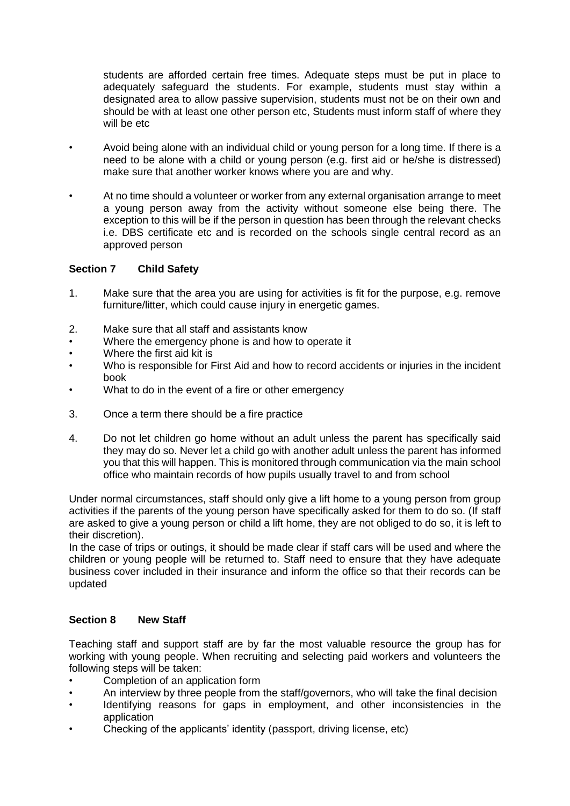students are afforded certain free times. Adequate steps must be put in place to adequately safeguard the students. For example, students must stay within a designated area to allow passive supervision, students must not be on their own and should be with at least one other person etc, Students must inform staff of where they will be etc.

- Avoid being alone with an individual child or young person for a long time. If there is a need to be alone with a child or young person (e.g. first aid or he/she is distressed) make sure that another worker knows where you are and why.
- At no time should a volunteer or worker from any external organisation arrange to meet a young person away from the activity without someone else being there. The exception to this will be if the person in question has been through the relevant checks i.e. DBS certificate etc and is recorded on the schools single central record as an approved person

# **Section 7 Child Safety**

- 1. Make sure that the area you are using for activities is fit for the purpose, e.g. remove furniture/litter, which could cause injury in energetic games.
- 2. Make sure that all staff and assistants know
- Where the emergency phone is and how to operate it
- Where the first aid kit is
- Who is responsible for First Aid and how to record accidents or injuries in the incident book
- What to do in the event of a fire or other emergency
- 3. Once a term there should be a fire practice
- 4. Do not let children go home without an adult unless the parent has specifically said they may do so. Never let a child go with another adult unless the parent has informed you that this will happen. This is monitored through communication via the main school office who maintain records of how pupils usually travel to and from school

Under normal circumstances, staff should only give a lift home to a young person from group activities if the parents of the young person have specifically asked for them to do so. (If staff are asked to give a young person or child a lift home, they are not obliged to do so, it is left to their discretion).

In the case of trips or outings, it should be made clear if staff cars will be used and where the children or young people will be returned to. Staff need to ensure that they have adequate business cover included in their insurance and inform the office so that their records can be updated

# **Section 8 New Staff**

Teaching staff and support staff are by far the most valuable resource the group has for working with young people. When recruiting and selecting paid workers and volunteers the following steps will be taken:

- Completion of an application form
- An interview by three people from the staff/governors, who will take the final decision
- Identifying reasons for gaps in employment, and other inconsistencies in the application
- Checking of the applicants' identity (passport, driving license, etc)